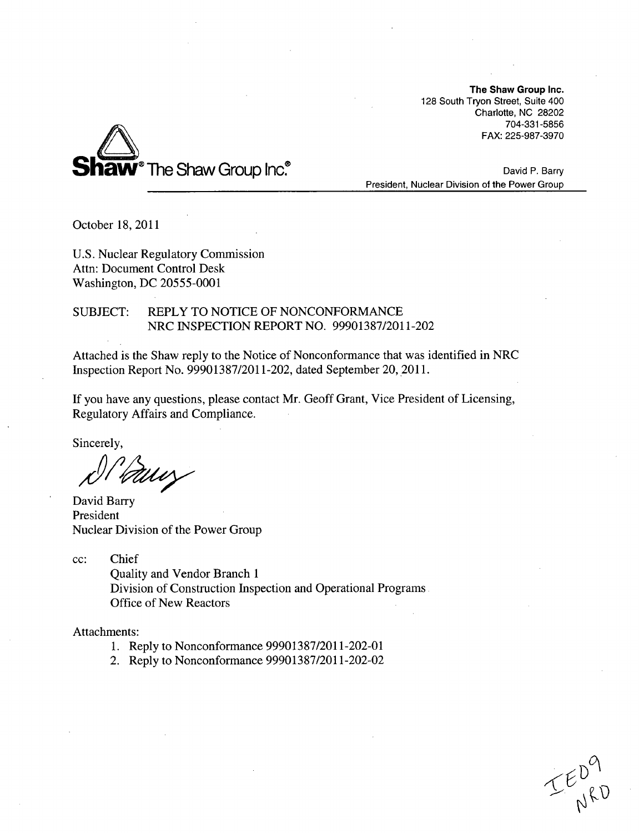The Shaw Group Inc. 128 South Tryon Street, Suite 400 Charlotte, NC 28202 704-331-5856 FAX: 225-987-3970



David P. Barry President, Nuclear Division of the Power Group

October 18, 2011

U.S. Nuclear Regulatory Commission Attn: Document Control Desk Washington, DC 20555-0001

# SUBJECT: REPLY TO NOTICE OF NONCONFORMANCE NRC INSPECTION REPORT NO. 99901387/2011-202

Attached is the Shaw reply to the Notice of Nonconformance that was identified in NRC Inspection Report No. 99901387/2011-202, dated September 20, 2011.

If you have any questions, please contact Mr. Geoff Grant, Vice President of Licensing, Regulatory Affairs and Compliance.

Sincerely,

WW }

David Barry President Nuclear Division of the Power Group

cc: Chief

Quality and Vendor Branch 1 Division of Construction Inspection and Operational Programs Office of New Reactors

Attachments:

- 1. Reply to Nonconformance 99901387/2011-202-01
- 2. Reply to Nonconformance 99901387/2011-202-02

 $TE_{NRO}^{PQ}$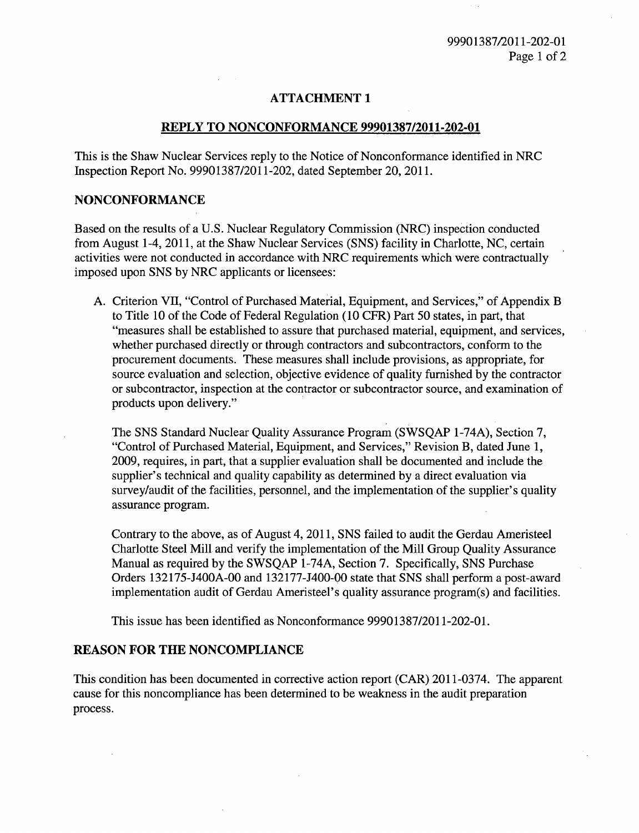## **ATTACHMENT 1**

#### REPLY TO **NONCONFORMANCE 99901387/2011-202-01**

This is the Shaw Nuclear Services reply to the Notice of Nonconformance identified in NRC Inspection Report No. 99901387/2011-202, dated September 20, 2011.

### NONCONFORMANCE

Based on the results of a U.S. Nuclear Regulatory Commission (NRC) inspection conducted from August 1-4, 2011, at the Shaw Nuclear Services (SNS) facility in Charlotte, NC, certain activities were not conducted in accordance with NRC requirements which were contractually imposed upon SNS by NRC applicants or licensees:

A. Criterion VII, "Control of Purchased Material, Equipment, and Services," of Appendix B to Title 10 of the Code of Federal Regulation (10 CFR) Part 50 states, in part, that "measures shall be established to assure that purchased material, equipment, and services, whether purchased directly or through contractors and subcontractors, conform to the procurement documents. These measures shall include provisions, as appropriate, for source evaluation and selection, objective evidence of quality furnished by the contractor or subcontractor, inspection at the contractor or subcontractor source, and examination of products upon delivery."

The SNS Standard Nuclear Quality Assurance Program (SWSQAP 1-74A), Section 7, "Control of Purchased Material, Equipment, and Services," Revision B, dated June 1, 2009, requires, in part, that a supplier evaluation shall be documented and include the supplier's technical and quality capability as determined by a direct evaluation via survey/audit of the facilities, personnel, and the implementation of the supplier's quality assurance program.

Contrary to the above, as of August 4, 2011, SNS failed to audit the Gerdau Ameristeel Charlotte Steel Mill and verify the implementation of the Mill Group Quality Assurance Manual as required by the SWSQAP 1-74A, Section 7. Specifically, SNS Purchase Orders 132175-J400A-00 and 132177-J400-00 state that SNS shall perform a post-award implementation audit of Gerdau Ameristeel's quality assurance program(s) and facilities.

This issue has been identified as Nonconformance 99901387/2011-202-01.

# REASON FOR THE NONCOMPLIANCE

This condition has been documented in corrective action report (CAR) 2011-0374. The apparent cause for this noncompliance has been determined to be weakness in the audit preparation process.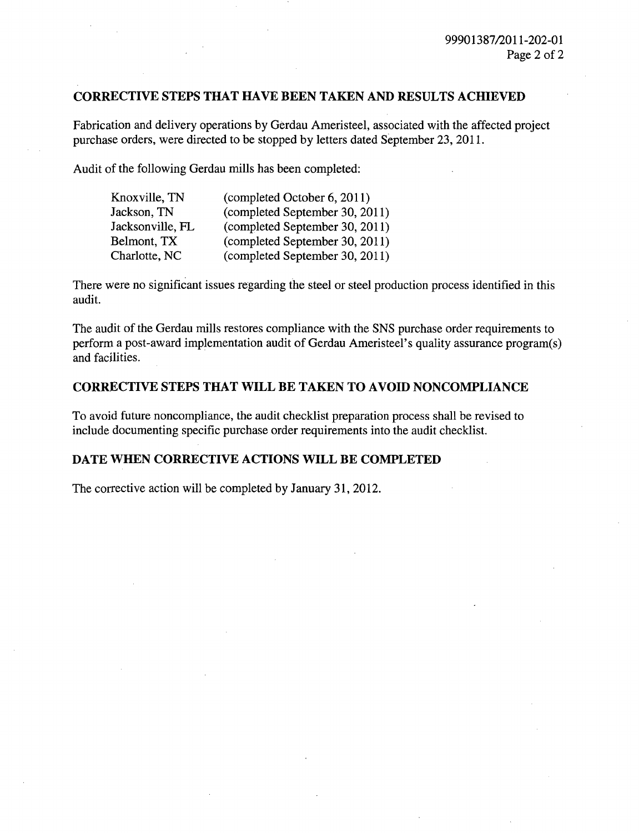## CORRECTIVE **STEPS** THAT **HAVE BEEN TAKEN AND RESULTS ACHIEVED**

Fabrication and delivery operations by Gerdau Ameristeel, associated with the affected project purchase orders, were directed to be stopped by letters dated September 23, 2011.

Audit of the following Gerdau mills has been completed:

| Knoxville, TN    | (completed October 6, 2011)    |
|------------------|--------------------------------|
| Jackson, TN      | (completed September 30, 2011) |
| Jacksonville, FL | (completed September 30, 2011) |
| Belmont, TX      | (completed September 30, 2011) |
| Charlotte, NC    | (completed September 30, 2011) |

There were no significant issues regarding the steel or steel production process identified in this audit.

The audit of the Gerdau mills restores compliance with the SNS purchase order requirements to perform a post-award implementation audit of Gerdau Ameristeel's quality assurance program(s) and facilities.

#### CORRECTIVE STEPS THAT WILL BE TAKEN TO **AVOID NONCOMPLIANCE**

To avoid future noncompliance, the audit checklist preparation process shall be revised to include documenting specific purchase order requirements into the audit checklist.

#### **DATE** WHEN CORRECTIVE **ACTIONS** WILL BE COMPLETED

The corrective action will be completed by January 31, 2012.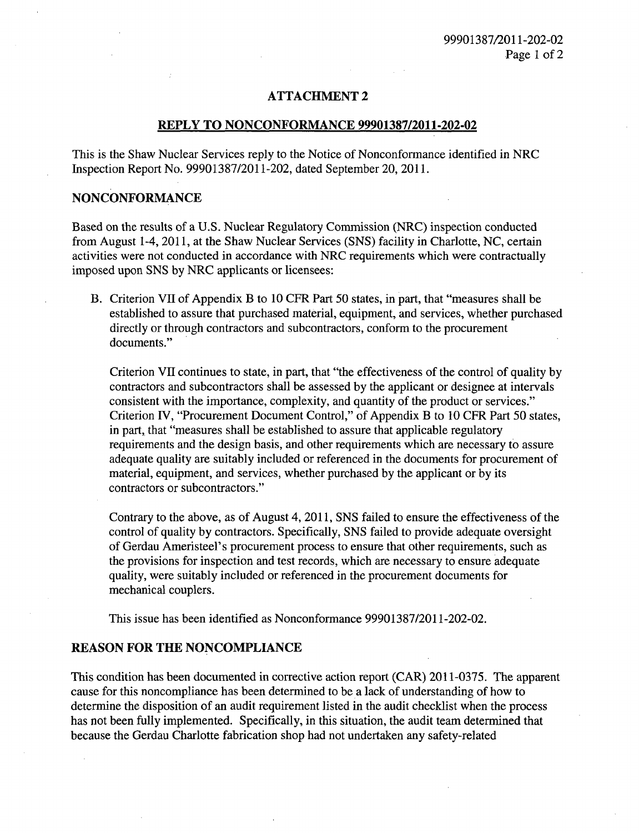#### **ATTACHMENT** 2

#### REPLY TO **NONCONFORMANCE 99901387/2011-202-02**

This is the Shaw Nuclear Services reply to the Notice of Nonconformance identified in NRC Inspection Report No. 99901387/2011-202, dated September 20, 2011.

### NONCONFORMANCE

Based on the results of a U.S. Nuclear Regulatory Commission (NRC) inspection conducted from August 1-4, 2011, at the Shaw Nuclear Services (SNS) facility in Charlotte, NC, certain activities were not conducted in accordance with NRC requirements which were contractually imposed upon SNS by NRC applicants or licensees:

B. Criterion VII of Appendix B to 10 CFR Part 50 states, in part, that "measures shall be established to assure that purchased material, equipment, and services, whether purchased directly or through contractors and subcontractors, conform to the procurement documents."

Criterion VII continues to state, in part, that "the effectiveness of the control of quality by contractors and subcontractors shall be assessed by the applicant or designee at intervals consistent with the importance, complexity, and quantity of the product or services." Criterion IV, "Procurement Document Control," of Appendix B to 10 CFR Part 50 states, in part, that "measures shall be established to assure that applicable regulatory requirements and the design basis, and other requirements which are necessary to assure adequate quality are suitably included or referenced in the documents for procurement of material, equipment, and services, whether purchased by the applicant or by its contractors or subcontractors."

Contrary to the above, as of August 4, 2011, SNS failed to ensure the effectiveness of the control of quality by contractors. Specifically, SNS failed to provide adequate oversight of Gerdau Ameristeel's procurement process to ensure that other requirements, such as the provisions for inspection and test records, which are necessary to ensure adequate quality, were suitably included or referenced in the procurement documents for mechanical couplers.

This issue has been identified as Nonconformance 99901387/2011-202-02.

#### REASON FOR THE **NONCOMPLIANCE**

This condition has been documented in corrective action report (CAR) 2011-0375. The apparent cause for this noncompliance has been determined to be a lack of understanding of how to determine the disposition of an audit requirement listed in the audit checklist when the process has not been fully implemented. Specifically, in this situation, the audit team determined that because the Gerdau Charlotte fabrication shop had not undertaken any safety-related